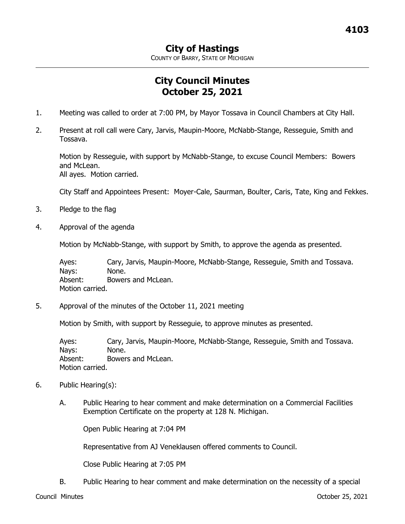COUNTY OF BARRY, STATE OF MICHIGAN

## **City Council Minutes October 25, 2021**

- 1. Meeting was called to order at 7:00 PM, by Mayor Tossava in Council Chambers at City Hall.
- 2. Present at roll call were Cary, Jarvis, Maupin-Moore, McNabb-Stange, Resseguie, Smith and Tossava.

Motion by Resseguie, with support by McNabb-Stange, to excuse Council Members: Bowers and McLean. All ayes. Motion carried.

City Staff and Appointees Present: Moyer-Cale, Saurman, Boulter, Caris, Tate, King and Fekkes.

- 3. Pledge to the flag
- 4. Approval of the agenda

Motion by McNabb-Stange, with support by Smith, to approve the agenda as presented.

Ayes: Cary, Jarvis, Maupin-Moore, McNabb-Stange, Resseguie, Smith and Tossava. Nays: None. Absent: Bowers and McLean. Motion carried.

5. Approval of the minutes of the October 11, 2021 meeting

Motion by Smith, with support by Resseguie, to approve minutes as presented.

Ayes: Cary, Jarvis, Maupin-Moore, McNabb-Stange, Resseguie, Smith and Tossava. Nays: None. Absent: Bowers and McLean. Motion carried.

- 6. Public Hearing(s):
	- A. Public Hearing to hear comment and make determination on a Commercial Facilities Exemption Certificate on the property at 128 N. Michigan.

Open Public Hearing at 7:04 PM

Representative from AJ Veneklausen offered comments to Council.

Close Public Hearing at 7:05 PM

B. Public Hearing to hear comment and make determination on the necessity of a special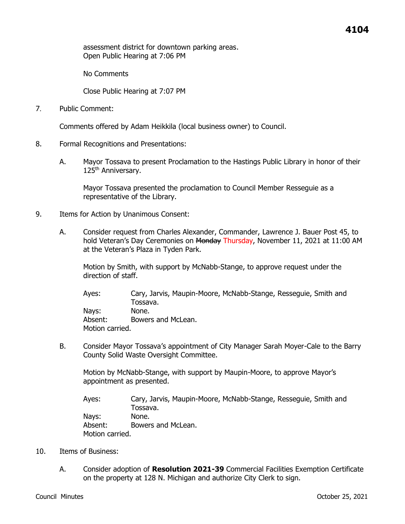assessment district for downtown parking areas. Open Public Hearing at 7:06 PM

No Comments

Close Public Hearing at 7:07 PM

7. Public Comment:

Comments offered by Adam Heikkila (local business owner) to Council.

- 8. Formal Recognitions and Presentations:
	- A. Mayor Tossava to present Proclamation to the Hastings Public Library in honor of their 125<sup>th</sup> Anniversary.

Mayor Tossava presented the proclamation to Council Member Resseguie as a representative of the Library.

- 9. Items for Action by Unanimous Consent:
	- A. Consider request from Charles Alexander, Commander, Lawrence J. Bauer Post 45, to hold Veteran's Day Ceremonies on Monday Thursday, November 11, 2021 at 11:00 AM at the Veteran's Plaza in Tyden Park.

Motion by Smith, with support by McNabb-Stange, to approve request under the direction of staff.

Ayes: Cary, Jarvis, Maupin-Moore, McNabb-Stange, Resseguie, Smith and Tossava. Nays: None. Absent: Bowers and McLean. Motion carried.

B. Consider Mayor Tossava's appointment of City Manager Sarah Moyer-Cale to the Barry County Solid Waste Oversight Committee.

Motion by McNabb-Stange, with support by Maupin-Moore, to approve Mayor's appointment as presented.

Ayes: Cary, Jarvis, Maupin-Moore, McNabb-Stange, Resseguie, Smith and Tossava. Nays: None. Absent: Bowers and McLean. Motion carried.

- 10. Items of Business:
	- A. Consider adoption of **Resolution 2021-39** Commercial Facilities Exemption Certificate on the property at 128 N. Michigan and authorize City Clerk to sign.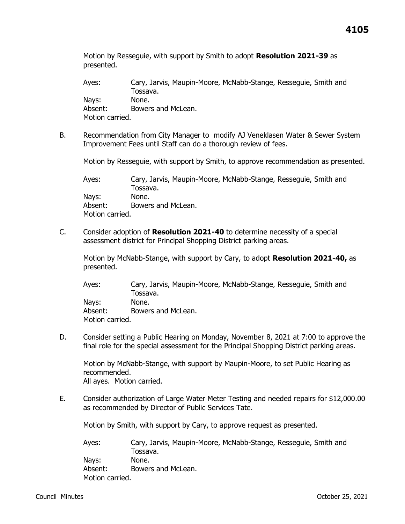Motion by Resseguie, with support by Smith to adopt **Resolution 2021-39** as presented.

Ayes: Cary, Jarvis, Maupin-Moore, McNabb-Stange, Resseguie, Smith and Tossava. Nays: None. Absent: Bowers and McLean. Motion carried.

B. Recommendation from City Manager to modify AJ Veneklasen Water & Sewer System Improvement Fees until Staff can do a thorough review of fees.

Motion by Resseguie, with support by Smith, to approve recommendation as presented.

Ayes: Cary, Jarvis, Maupin-Moore, McNabb-Stange, Resseguie, Smith and Tossava. Nays: None. Absent: Bowers and McLean. Motion carried.

C. Consider adoption of **Resolution 2021-40** to determine necessity of a special assessment district for Principal Shopping District parking areas.

Motion by McNabb-Stange, with support by Cary, to adopt **Resolution 2021-40,** as presented.

Ayes: Cary, Jarvis, Maupin-Moore, McNabb-Stange, Resseguie, Smith and Tossava. Nays: None. Absent: Bowers and McLean. Motion carried.

D. Consider setting a Public Hearing on Monday, November 8, 2021 at 7:00 to approve the final role for the special assessment for the Principal Shopping District parking areas.

Motion by McNabb-Stange, with support by Maupin-Moore, to set Public Hearing as recommended. All ayes. Motion carried.

E. Consider authorization of Large Water Meter Testing and needed repairs for \$12,000.00 as recommended by Director of Public Services Tate.

Motion by Smith, with support by Cary, to approve request as presented.

Ayes: Cary, Jarvis, Maupin-Moore, McNabb-Stange, Resseguie, Smith and Tossava. Nays: None. Absent: Bowers and McLean. Motion carried.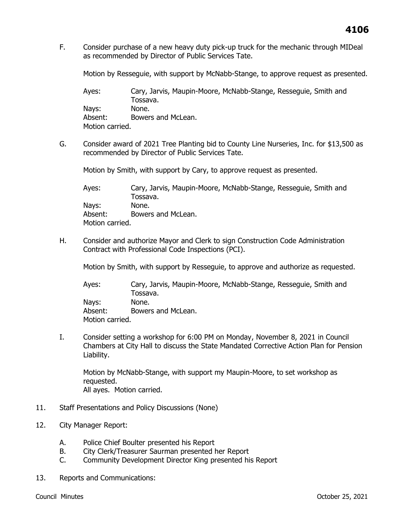F. Consider purchase of a new heavy duty pick-up truck for the mechanic through MIDeal as recommended by Director of Public Services Tate.

Motion by Resseguie, with support by McNabb-Stange, to approve request as presented.

Ayes: Cary, Jarvis, Maupin-Moore, McNabb-Stange, Resseguie, Smith and Tossava. Nays: None. Absent: Bowers and McLean. Motion carried.

G. Consider award of 2021 Tree Planting bid to County Line Nurseries, Inc. for \$13,500 as recommended by Director of Public Services Tate.

Motion by Smith, with support by Cary, to approve request as presented.

Ayes: Cary, Jarvis, Maupin-Moore, McNabb-Stange, Resseguie, Smith and Tossava. Nays: None. Absent: Bowers and McLean. Motion carried.

H. Consider and authorize Mayor and Clerk to sign Construction Code Administration Contract with Professional Code Inspections (PCI).

Motion by Smith, with support by Resseguie, to approve and authorize as requested.

Ayes: Cary, Jarvis, Maupin-Moore, McNabb-Stange, Resseguie, Smith and Tossava. Nays: None. Absent: Bowers and McLean. Motion carried.

I. Consider setting a workshop for 6:00 PM on Monday, November 8, 2021 in Council Chambers at City Hall to discuss the State Mandated Corrective Action Plan for Pension Liability.

Motion by McNabb-Stange, with support my Maupin-Moore, to set workshop as requested. All ayes. Motion carried.

- 11. Staff Presentations and Policy Discussions (None)
- 12. City Manager Report:
	- A. Police Chief Boulter presented his Report
	- B. City Clerk/Treasurer Saurman presented her Report
	- C. Community Development Director King presented his Report
- 13. Reports and Communications: